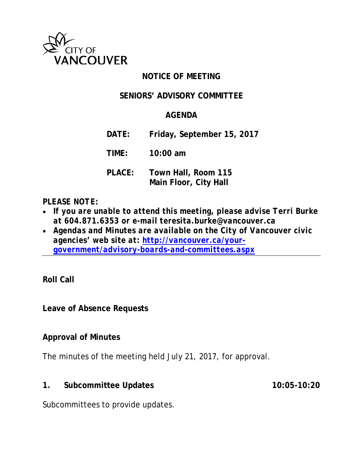

## **NOTICE OF MEETING**

## **SENIORS' ADVISORY COMMITTEE**

#### **AGENDA**

**DATE: Friday, September 15, 2017**

**TIME: 10:00 am**

**PLACE: Town Hall, Room 115 Main Floor, City Hall**

#### *PLEASE NOTE:*

- *If you are unable to attend this meeting, please advise Terri Burke at 604.871.6353 or e-mail teresita.burke@vancouver.ca*
- *Agendas and Minutes are available on the City of Vancouver civic agencies' web site at: [http://vancouver.ca/your](http://vancouver.ca/your-government/advisory-boards-and-committees.aspx)[government/advisory-boards-and-committees.aspx](http://vancouver.ca/your-government/advisory-boards-and-committees.aspx)*

**Roll Call**

**Leave of Absence Requests**

# **Approval of Minutes**

The minutes of the meeting held July 21, 2017, for approval.

**1. Subcommittee Updates 10:05-10:20**

Subcommittees to provide updates.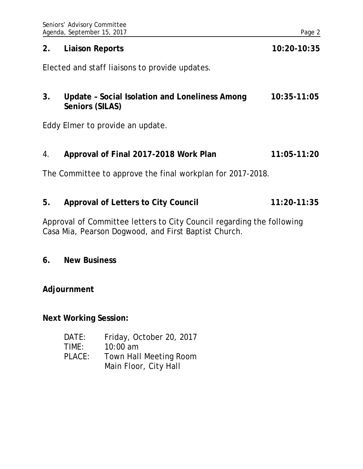|    | Seniors' Advisory Committee<br>Agenda, September 15, 2017                        |                                                                                                                               | Page 2        |
|----|----------------------------------------------------------------------------------|-------------------------------------------------------------------------------------------------------------------------------|---------------|
| 2. | <b>Liaison Reports</b>                                                           |                                                                                                                               | 10:20-10:35   |
|    |                                                                                  | Elected and staff liaisons to provide updates.                                                                                |               |
| 3. | Update - Social Isolation and Loneliness Among<br>10:35-11:05<br>Seniors (SILAS) |                                                                                                                               |               |
|    |                                                                                  | Eddy Elmer to provide an update.                                                                                              |               |
| 4. |                                                                                  | Approval of Final 2017-2018 Work Plan                                                                                         | $11:05-11:20$ |
|    |                                                                                  | The Committee to approve the final workplan for 2017-2018.                                                                    |               |
| 5. | <b>Approval of Letters to City Council</b>                                       |                                                                                                                               | 11:20-11:35   |
|    |                                                                                  | Approval of Committee letters to City Council regarding the following<br>Casa Mia, Pearson Dogwood, and First Baptist Church. |               |
| 6. | <b>New Business</b>                                                              |                                                                                                                               |               |
|    | Adjournment                                                                      |                                                                                                                               |               |
|    | <b>Next Working Session:</b>                                                     |                                                                                                                               |               |
|    | DATE:<br>TIME:<br>PLACE:                                                         | Friday, October 20, 2017<br>10:00 am<br>Town Hall Meeting Room                                                                |               |

Main Floor, City Hall